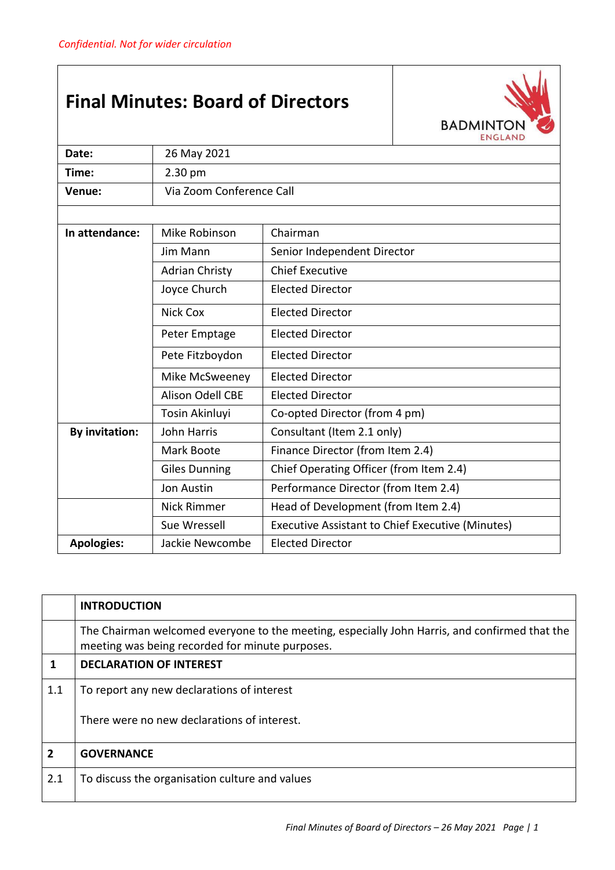## **Final Minutes: Board of Directors**



| Date:                 | 26 May 2021                                     |                                                         |  |
|-----------------------|-------------------------------------------------|---------------------------------------------------------|--|
| Time:                 | 2.30 pm                                         |                                                         |  |
| Venue:                | Via Zoom Conference Call                        |                                                         |  |
|                       |                                                 |                                                         |  |
| In attendance:        | Mike Robinson<br>Chairman                       |                                                         |  |
|                       | Jim Mann                                        | Senior Independent Director                             |  |
|                       | <b>Adrian Christy</b>                           | <b>Chief Executive</b>                                  |  |
|                       | Joyce Church                                    | <b>Elected Director</b>                                 |  |
|                       | Nick Cox<br><b>Elected Director</b>             |                                                         |  |
|                       | <b>Elected Director</b><br>Peter Emptage        |                                                         |  |
|                       | Pete Fitzboydon                                 | <b>Elected Director</b>                                 |  |
|                       | Mike McSweeney                                  | <b>Elected Director</b>                                 |  |
|                       | <b>Alison Odell CBE</b>                         | <b>Elected Director</b>                                 |  |
|                       | Tosin Akinluyi<br>Co-opted Director (from 4 pm) |                                                         |  |
| <b>By invitation:</b> | <b>John Harris</b>                              | Consultant (Item 2.1 only)                              |  |
|                       | Mark Boote                                      | Finance Director (from Item 2.4)                        |  |
|                       | <b>Giles Dunning</b>                            | Chief Operating Officer (from Item 2.4)                 |  |
|                       | <b>Jon Austin</b>                               | Performance Director (from Item 2.4)                    |  |
|                       | <b>Nick Rimmer</b>                              | Head of Development (from Item 2.4)                     |  |
|                       | Sue Wressell                                    | <b>Executive Assistant to Chief Executive (Minutes)</b> |  |
| <b>Apologies:</b>     | <b>Elected Director</b><br>Jackie Newcombe      |                                                         |  |

|                | <b>INTRODUCTION</b>                                                                                                                              |
|----------------|--------------------------------------------------------------------------------------------------------------------------------------------------|
|                | The Chairman welcomed everyone to the meeting, especially John Harris, and confirmed that the<br>meeting was being recorded for minute purposes. |
| 1              | <b>DECLARATION OF INTEREST</b>                                                                                                                   |
| 1.1            | To report any new declarations of interest                                                                                                       |
|                | There were no new declarations of interest.                                                                                                      |
| $\overline{2}$ | <b>GOVERNANCE</b>                                                                                                                                |
| 2.1            | To discuss the organisation culture and values                                                                                                   |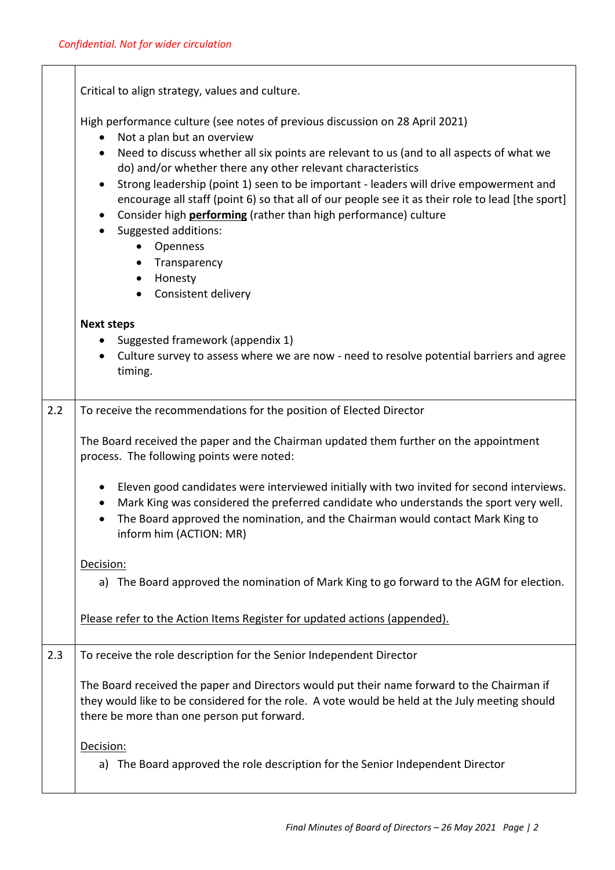|     | Critical to align strategy, values and culture.                                                                                                                                                                                                                                                          |  |  |
|-----|----------------------------------------------------------------------------------------------------------------------------------------------------------------------------------------------------------------------------------------------------------------------------------------------------------|--|--|
|     | High performance culture (see notes of previous discussion on 28 April 2021)<br>Not a plan but an overview                                                                                                                                                                                               |  |  |
|     | Need to discuss whether all six points are relevant to us (and to all aspects of what we<br>do) and/or whether there any other relevant characteristics                                                                                                                                                  |  |  |
|     | Strong leadership (point 1) seen to be important - leaders will drive empowerment and<br>$\bullet$<br>encourage all staff (point 6) so that all of our people see it as their role to lead [the sport]<br>Consider high <b>performing</b> (rather than high performance) culture<br>Suggested additions: |  |  |
|     | Openness                                                                                                                                                                                                                                                                                                 |  |  |
|     | Transparency                                                                                                                                                                                                                                                                                             |  |  |
|     | Honesty<br>$\bullet$                                                                                                                                                                                                                                                                                     |  |  |
|     | Consistent delivery<br>$\bullet$                                                                                                                                                                                                                                                                         |  |  |
|     | <b>Next steps</b>                                                                                                                                                                                                                                                                                        |  |  |
|     | Suggested framework (appendix 1)                                                                                                                                                                                                                                                                         |  |  |
|     | Culture survey to assess where we are now - need to resolve potential barriers and agree<br>timing.                                                                                                                                                                                                      |  |  |
| 2.2 | To receive the recommendations for the position of Elected Director                                                                                                                                                                                                                                      |  |  |
|     | The Board received the paper and the Chairman updated them further on the appointment<br>process. The following points were noted:                                                                                                                                                                       |  |  |
|     | Eleven good candidates were interviewed initially with two invited for second interviews.<br>Mark King was considered the preferred candidate who understands the sport very well.<br>The Board approved the nomination, and the Chairman would contact Mark King to<br>inform him (ACTION: MR)          |  |  |
|     | Decision:                                                                                                                                                                                                                                                                                                |  |  |
|     | a) The Board approved the nomination of Mark King to go forward to the AGM for election.                                                                                                                                                                                                                 |  |  |
|     | Please refer to the Action Items Register for updated actions (appended).                                                                                                                                                                                                                                |  |  |
| 2.3 | To receive the role description for the Senior Independent Director                                                                                                                                                                                                                                      |  |  |
|     | The Board received the paper and Directors would put their name forward to the Chairman if<br>they would like to be considered for the role. A vote would be held at the July meeting should<br>there be more than one person put forward.                                                               |  |  |
|     | Decision:                                                                                                                                                                                                                                                                                                |  |  |
|     | The Board approved the role description for the Senior Independent Director<br>a)                                                                                                                                                                                                                        |  |  |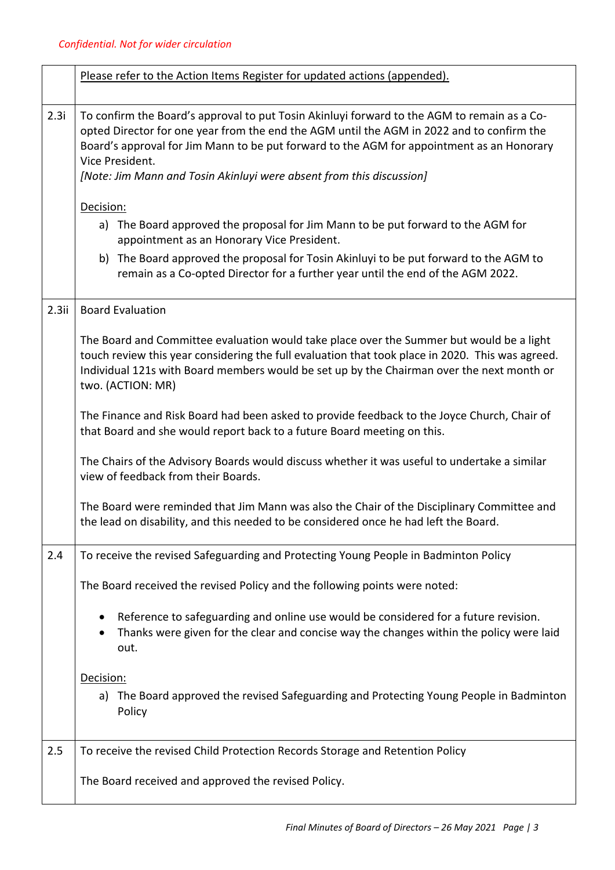|      | Please refer to the Action Items Register for updated actions (appended).                                                                                                                                                                                                                                                                                                        |
|------|----------------------------------------------------------------------------------------------------------------------------------------------------------------------------------------------------------------------------------------------------------------------------------------------------------------------------------------------------------------------------------|
| 2.3i | To confirm the Board's approval to put Tosin Akinluyi forward to the AGM to remain as a Co-<br>opted Director for one year from the end the AGM until the AGM in 2022 and to confirm the<br>Board's approval for Jim Mann to be put forward to the AGM for appointment as an Honorary<br>Vice President.<br>[Note: Jim Mann and Tosin Akinluyi were absent from this discussion] |
|      | Decision:                                                                                                                                                                                                                                                                                                                                                                        |
|      | a) The Board approved the proposal for Jim Mann to be put forward to the AGM for<br>appointment as an Honorary Vice President.                                                                                                                                                                                                                                                   |
|      | b) The Board approved the proposal for Tosin Akinluyi to be put forward to the AGM to<br>remain as a Co-opted Director for a further year until the end of the AGM 2022.                                                                                                                                                                                                         |
| 2.3i | <b>Board Evaluation</b>                                                                                                                                                                                                                                                                                                                                                          |
|      | The Board and Committee evaluation would take place over the Summer but would be a light<br>touch review this year considering the full evaluation that took place in 2020. This was agreed.<br>Individual 121s with Board members would be set up by the Chairman over the next month or<br>two. (ACTION: MR)                                                                   |
|      | The Finance and Risk Board had been asked to provide feedback to the Joyce Church, Chair of<br>that Board and she would report back to a future Board meeting on this.                                                                                                                                                                                                           |
|      | The Chairs of the Advisory Boards would discuss whether it was useful to undertake a similar<br>view of feedback from their Boards.                                                                                                                                                                                                                                              |
|      | The Board were reminded that Jim Mann was also the Chair of the Disciplinary Committee and<br>the lead on disability, and this needed to be considered once he had left the Board.                                                                                                                                                                                               |
| 2.4  | To receive the revised Safeguarding and Protecting Young People in Badminton Policy                                                                                                                                                                                                                                                                                              |
|      | The Board received the revised Policy and the following points were noted:                                                                                                                                                                                                                                                                                                       |
|      | Reference to safeguarding and online use would be considered for a future revision.<br>Thanks were given for the clear and concise way the changes within the policy were laid<br>out.                                                                                                                                                                                           |
|      | Decision:                                                                                                                                                                                                                                                                                                                                                                        |
|      | a) The Board approved the revised Safeguarding and Protecting Young People in Badminton<br>Policy                                                                                                                                                                                                                                                                                |
| 2.5  | To receive the revised Child Protection Records Storage and Retention Policy                                                                                                                                                                                                                                                                                                     |
|      | The Board received and approved the revised Policy.                                                                                                                                                                                                                                                                                                                              |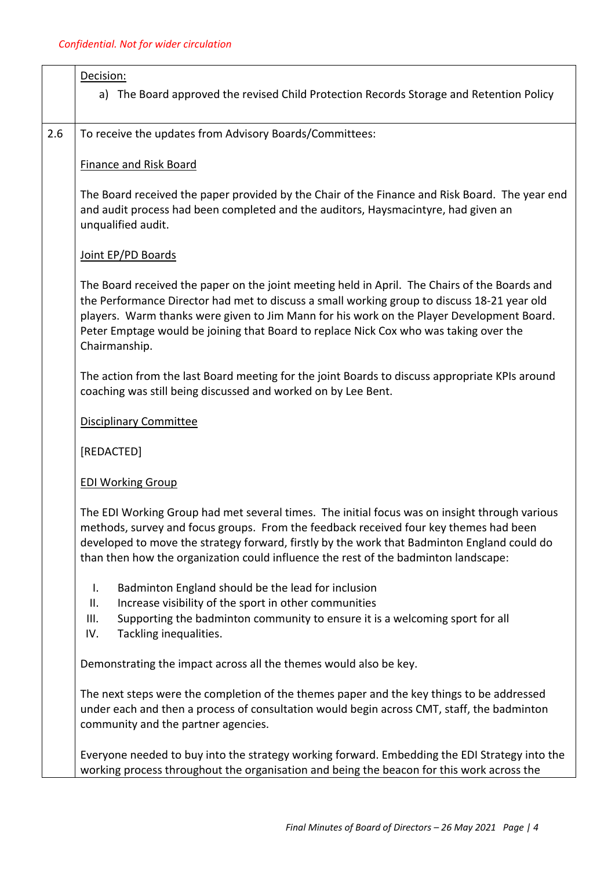|     | Decision:<br>a) The Board approved the revised Child Protection Records Storage and Retention Policy                                                                                                                                                                                                                                                                                                |  |
|-----|-----------------------------------------------------------------------------------------------------------------------------------------------------------------------------------------------------------------------------------------------------------------------------------------------------------------------------------------------------------------------------------------------------|--|
| 2.6 | To receive the updates from Advisory Boards/Committees:                                                                                                                                                                                                                                                                                                                                             |  |
|     | <b>Finance and Risk Board</b>                                                                                                                                                                                                                                                                                                                                                                       |  |
|     | The Board received the paper provided by the Chair of the Finance and Risk Board. The year end<br>and audit process had been completed and the auditors, Haysmacintyre, had given an<br>unqualified audit.                                                                                                                                                                                          |  |
|     | Joint EP/PD Boards                                                                                                                                                                                                                                                                                                                                                                                  |  |
|     | The Board received the paper on the joint meeting held in April. The Chairs of the Boards and<br>the Performance Director had met to discuss a small working group to discuss 18-21 year old<br>players. Warm thanks were given to Jim Mann for his work on the Player Development Board.<br>Peter Emptage would be joining that Board to replace Nick Cox who was taking over the<br>Chairmanship. |  |
|     | The action from the last Board meeting for the joint Boards to discuss appropriate KPIs around<br>coaching was still being discussed and worked on by Lee Bent.                                                                                                                                                                                                                                     |  |
|     | <b>Disciplinary Committee</b>                                                                                                                                                                                                                                                                                                                                                                       |  |
|     | [REDACTED]                                                                                                                                                                                                                                                                                                                                                                                          |  |
|     | <b>EDI Working Group</b>                                                                                                                                                                                                                                                                                                                                                                            |  |
|     | The EDI Working Group had met several times. The initial focus was on insight through various<br>methods, survey and focus groups. From the feedback received four key themes had been<br>developed to move the strategy forward, firstly by the work that Badminton England could do<br>than then how the organization could influence the rest of the badminton landscape:                        |  |
|     | Badminton England should be the lead for inclusion<br>I.<br>Increase visibility of the sport in other communities<br>ΙΙ.<br>Supporting the badminton community to ensure it is a welcoming sport for all<br>III.<br>IV.<br>Tackling inequalities.                                                                                                                                                   |  |
|     | Demonstrating the impact across all the themes would also be key.                                                                                                                                                                                                                                                                                                                                   |  |
|     | The next steps were the completion of the themes paper and the key things to be addressed<br>under each and then a process of consultation would begin across CMT, staff, the badminton<br>community and the partner agencies.                                                                                                                                                                      |  |
|     | Everyone needed to buy into the strategy working forward. Embedding the EDI Strategy into the<br>working process throughout the organisation and being the beacon for this work across the                                                                                                                                                                                                          |  |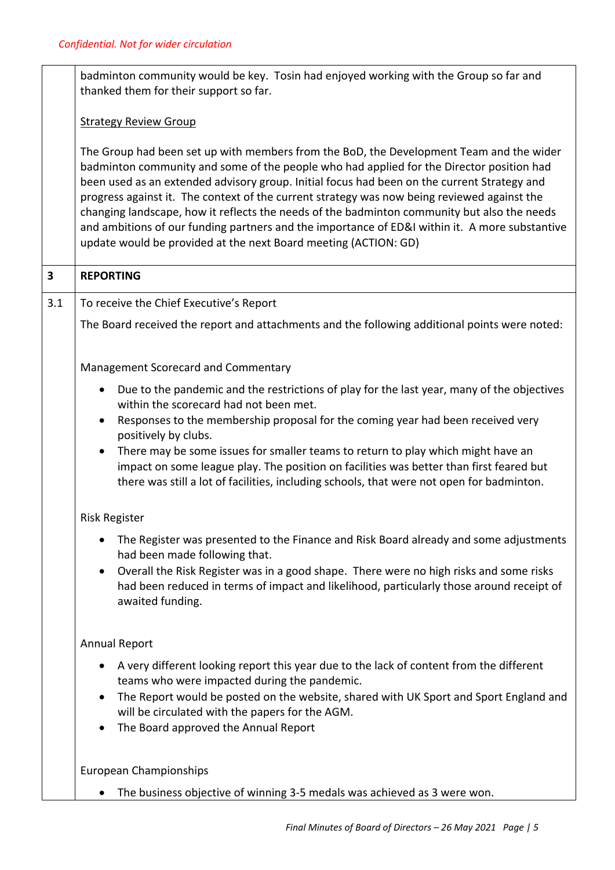|                         | badminton community would be key. Tosin had enjoyed working with the Group so far and<br>thanked them for their support so far.                                                                                                                                                                                                                                                                                                                                                                                                                                                                                                                       |  |  |
|-------------------------|-------------------------------------------------------------------------------------------------------------------------------------------------------------------------------------------------------------------------------------------------------------------------------------------------------------------------------------------------------------------------------------------------------------------------------------------------------------------------------------------------------------------------------------------------------------------------------------------------------------------------------------------------------|--|--|
|                         | <b>Strategy Review Group</b>                                                                                                                                                                                                                                                                                                                                                                                                                                                                                                                                                                                                                          |  |  |
|                         | The Group had been set up with members from the BoD, the Development Team and the wider<br>badminton community and some of the people who had applied for the Director position had<br>been used as an extended advisory group. Initial focus had been on the current Strategy and<br>progress against it. The context of the current strategy was now being reviewed against the<br>changing landscape, how it reflects the needs of the badminton community but also the needs<br>and ambitions of our funding partners and the importance of ED&I within it. A more substantive<br>update would be provided at the next Board meeting (ACTION: GD) |  |  |
| $\overline{\mathbf{3}}$ | <b>REPORTING</b>                                                                                                                                                                                                                                                                                                                                                                                                                                                                                                                                                                                                                                      |  |  |
| 3.1                     | To receive the Chief Executive's Report                                                                                                                                                                                                                                                                                                                                                                                                                                                                                                                                                                                                               |  |  |
|                         | The Board received the report and attachments and the following additional points were noted:                                                                                                                                                                                                                                                                                                                                                                                                                                                                                                                                                         |  |  |
|                         | Management Scorecard and Commentary                                                                                                                                                                                                                                                                                                                                                                                                                                                                                                                                                                                                                   |  |  |
|                         | Due to the pandemic and the restrictions of play for the last year, many of the objectives<br>$\bullet$<br>within the scorecard had not been met.<br>Responses to the membership proposal for the coming year had been received very<br>$\bullet$<br>positively by clubs.<br>There may be some issues for smaller teams to return to play which might have an<br>impact on some league play. The position on facilities was better than first feared but<br>there was still a lot of facilities, including schools, that were not open for badminton.                                                                                                 |  |  |
|                         | <b>Risk Register</b>                                                                                                                                                                                                                                                                                                                                                                                                                                                                                                                                                                                                                                  |  |  |
|                         | The Register was presented to the Finance and Risk Board already and some adjustments<br>had been made following that.<br>Overall the Risk Register was in a good shape. There were no high risks and some risks<br>٠<br>had been reduced in terms of impact and likelihood, particularly those around receipt of<br>awaited funding.                                                                                                                                                                                                                                                                                                                 |  |  |
|                         | <b>Annual Report</b>                                                                                                                                                                                                                                                                                                                                                                                                                                                                                                                                                                                                                                  |  |  |
|                         | A very different looking report this year due to the lack of content from the different<br>٠<br>teams who were impacted during the pandemic.<br>The Report would be posted on the website, shared with UK Sport and Sport England and<br>will be circulated with the papers for the AGM.<br>The Board approved the Annual Report                                                                                                                                                                                                                                                                                                                      |  |  |
|                         | <b>European Championships</b>                                                                                                                                                                                                                                                                                                                                                                                                                                                                                                                                                                                                                         |  |  |
|                         | The business objective of winning 3-5 medals was achieved as 3 were won.                                                                                                                                                                                                                                                                                                                                                                                                                                                                                                                                                                              |  |  |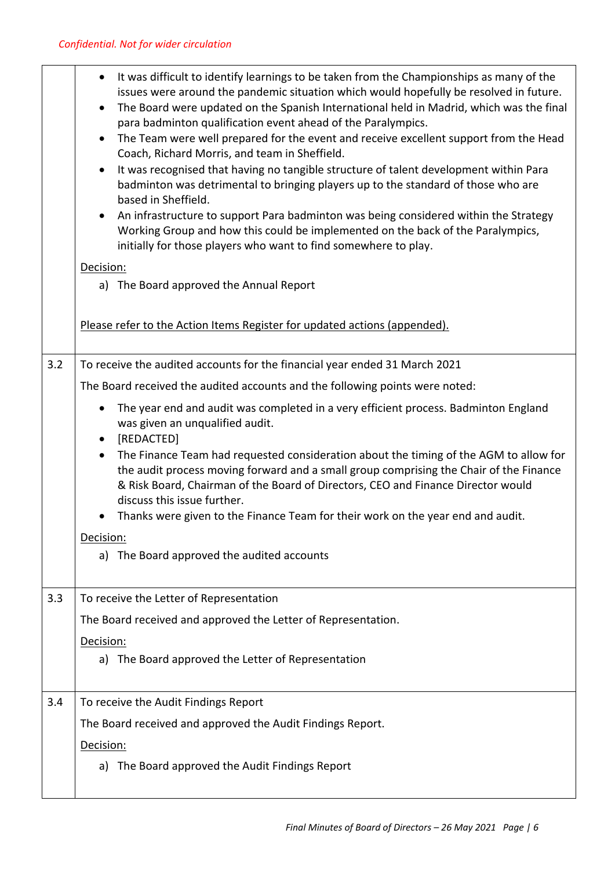|     | It was difficult to identify learnings to be taken from the Championships as many of the<br>$\bullet$<br>issues were around the pandemic situation which would hopefully be resolved in future.<br>The Board were updated on the Spanish International held in Madrid, which was the final<br>$\bullet$<br>para badminton qualification event ahead of the Paralympics.<br>The Team were well prepared for the event and receive excellent support from the Head<br>$\bullet$<br>Coach, Richard Morris, and team in Sheffield.<br>It was recognised that having no tangible structure of talent development within Para<br>$\bullet$<br>badminton was detrimental to bringing players up to the standard of those who are<br>based in Sheffield.<br>An infrastructure to support Para badminton was being considered within the Strategy<br>$\bullet$<br>Working Group and how this could be implemented on the back of the Paralympics,<br>initially for those players who want to find somewhere to play.<br>Decision:<br>a) The Board approved the Annual Report |
|-----|---------------------------------------------------------------------------------------------------------------------------------------------------------------------------------------------------------------------------------------------------------------------------------------------------------------------------------------------------------------------------------------------------------------------------------------------------------------------------------------------------------------------------------------------------------------------------------------------------------------------------------------------------------------------------------------------------------------------------------------------------------------------------------------------------------------------------------------------------------------------------------------------------------------------------------------------------------------------------------------------------------------------------------------------------------------------|
|     | Please refer to the Action Items Register for updated actions (appended).                                                                                                                                                                                                                                                                                                                                                                                                                                                                                                                                                                                                                                                                                                                                                                                                                                                                                                                                                                                           |
| 3.2 | To receive the audited accounts for the financial year ended 31 March 2021                                                                                                                                                                                                                                                                                                                                                                                                                                                                                                                                                                                                                                                                                                                                                                                                                                                                                                                                                                                          |
|     | The Board received the audited accounts and the following points were noted:                                                                                                                                                                                                                                                                                                                                                                                                                                                                                                                                                                                                                                                                                                                                                                                                                                                                                                                                                                                        |
|     | The year end and audit was completed in a very efficient process. Badminton England<br>$\bullet$<br>was given an unqualified audit.<br>[REDACTED]<br>$\bullet$                                                                                                                                                                                                                                                                                                                                                                                                                                                                                                                                                                                                                                                                                                                                                                                                                                                                                                      |
|     | The Finance Team had requested consideration about the timing of the AGM to allow for<br>$\bullet$<br>the audit process moving forward and a small group comprising the Chair of the Finance<br>& Risk Board, Chairman of the Board of Directors, CEO and Finance Director would<br>discuss this issue further.                                                                                                                                                                                                                                                                                                                                                                                                                                                                                                                                                                                                                                                                                                                                                     |
|     | Thanks were given to the Finance Team for their work on the year end and audit.<br>$\bullet$                                                                                                                                                                                                                                                                                                                                                                                                                                                                                                                                                                                                                                                                                                                                                                                                                                                                                                                                                                        |
|     | Decision:                                                                                                                                                                                                                                                                                                                                                                                                                                                                                                                                                                                                                                                                                                                                                                                                                                                                                                                                                                                                                                                           |
|     | a) The Board approved the audited accounts                                                                                                                                                                                                                                                                                                                                                                                                                                                                                                                                                                                                                                                                                                                                                                                                                                                                                                                                                                                                                          |
| 3.3 | To receive the Letter of Representation                                                                                                                                                                                                                                                                                                                                                                                                                                                                                                                                                                                                                                                                                                                                                                                                                                                                                                                                                                                                                             |
|     | The Board received and approved the Letter of Representation.                                                                                                                                                                                                                                                                                                                                                                                                                                                                                                                                                                                                                                                                                                                                                                                                                                                                                                                                                                                                       |
|     | Decision:                                                                                                                                                                                                                                                                                                                                                                                                                                                                                                                                                                                                                                                                                                                                                                                                                                                                                                                                                                                                                                                           |
|     | a) The Board approved the Letter of Representation                                                                                                                                                                                                                                                                                                                                                                                                                                                                                                                                                                                                                                                                                                                                                                                                                                                                                                                                                                                                                  |
| 3.4 | To receive the Audit Findings Report                                                                                                                                                                                                                                                                                                                                                                                                                                                                                                                                                                                                                                                                                                                                                                                                                                                                                                                                                                                                                                |
|     | The Board received and approved the Audit Findings Report.                                                                                                                                                                                                                                                                                                                                                                                                                                                                                                                                                                                                                                                                                                                                                                                                                                                                                                                                                                                                          |
|     | Decision:                                                                                                                                                                                                                                                                                                                                                                                                                                                                                                                                                                                                                                                                                                                                                                                                                                                                                                                                                                                                                                                           |
|     | a) The Board approved the Audit Findings Report                                                                                                                                                                                                                                                                                                                                                                                                                                                                                                                                                                                                                                                                                                                                                                                                                                                                                                                                                                                                                     |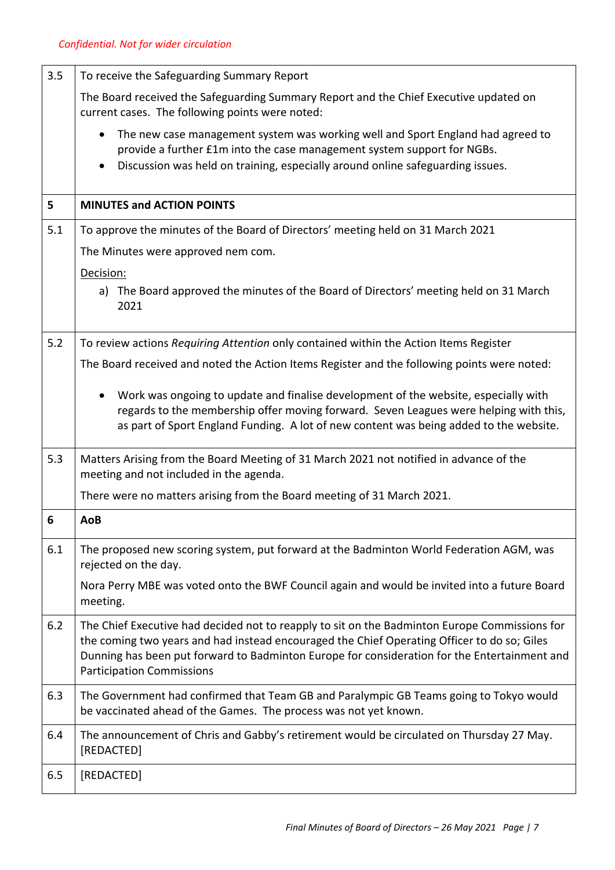| 3.5 | To receive the Safeguarding Summary Report                                                                                                                                                                                                                                                                                       |  |  |
|-----|----------------------------------------------------------------------------------------------------------------------------------------------------------------------------------------------------------------------------------------------------------------------------------------------------------------------------------|--|--|
|     | The Board received the Safeguarding Summary Report and the Chief Executive updated on<br>current cases. The following points were noted:                                                                                                                                                                                         |  |  |
|     | The new case management system was working well and Sport England had agreed to<br>$\bullet$<br>provide a further £1m into the case management system support for NGBs.<br>Discussion was held on training, especially around online safeguarding issues.                                                                        |  |  |
| 5   | <b>MINUTES and ACTION POINTS</b>                                                                                                                                                                                                                                                                                                 |  |  |
| 5.1 | To approve the minutes of the Board of Directors' meeting held on 31 March 2021                                                                                                                                                                                                                                                  |  |  |
|     | The Minutes were approved nem com.                                                                                                                                                                                                                                                                                               |  |  |
|     | Decision:                                                                                                                                                                                                                                                                                                                        |  |  |
|     | a) The Board approved the minutes of the Board of Directors' meeting held on 31 March<br>2021                                                                                                                                                                                                                                    |  |  |
| 5.2 | To review actions Requiring Attention only contained within the Action Items Register                                                                                                                                                                                                                                            |  |  |
|     | The Board received and noted the Action Items Register and the following points were noted:                                                                                                                                                                                                                                      |  |  |
|     | Work was ongoing to update and finalise development of the website, especially with<br>$\bullet$<br>regards to the membership offer moving forward. Seven Leagues were helping with this,<br>as part of Sport England Funding. A lot of new content was being added to the website.                                              |  |  |
| 5.3 | Matters Arising from the Board Meeting of 31 March 2021 not notified in advance of the<br>meeting and not included in the agenda.                                                                                                                                                                                                |  |  |
|     | There were no matters arising from the Board meeting of 31 March 2021.                                                                                                                                                                                                                                                           |  |  |
| 6   | AoB                                                                                                                                                                                                                                                                                                                              |  |  |
| 6.1 | The proposed new scoring system, put forward at the Badminton World Federation AGM, was<br>rejected on the day.                                                                                                                                                                                                                  |  |  |
|     | Nora Perry MBE was voted onto the BWF Council again and would be invited into a future Board<br>meeting.                                                                                                                                                                                                                         |  |  |
| 6.2 | The Chief Executive had decided not to reapply to sit on the Badminton Europe Commissions for<br>the coming two years and had instead encouraged the Chief Operating Officer to do so; Giles<br>Dunning has been put forward to Badminton Europe for consideration for the Entertainment and<br><b>Participation Commissions</b> |  |  |
| 6.3 | The Government had confirmed that Team GB and Paralympic GB Teams going to Tokyo would<br>be vaccinated ahead of the Games. The process was not yet known.                                                                                                                                                                       |  |  |
| 6.4 | The announcement of Chris and Gabby's retirement would be circulated on Thursday 27 May.<br>[REDACTED]                                                                                                                                                                                                                           |  |  |
| 6.5 | [REDACTED]                                                                                                                                                                                                                                                                                                                       |  |  |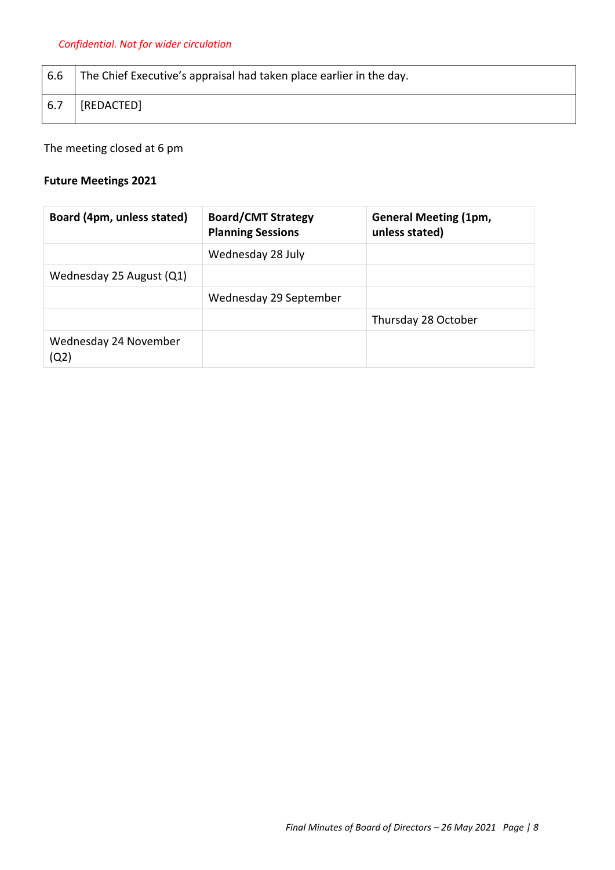| $6.6$ | The Chief Executive's appraisal had taken place earlier in the day. |
|-------|---------------------------------------------------------------------|
| 6.7   | [REDACTED]                                                          |

The meeting closed at 6 pm

## **Future Meetings 2021**

| Board (4pm, unless stated)    | <b>Board/CMT Strategy</b><br><b>Planning Sessions</b> | <b>General Meeting (1pm,</b><br>unless stated) |
|-------------------------------|-------------------------------------------------------|------------------------------------------------|
|                               | Wednesday 28 July                                     |                                                |
| Wednesday 25 August (Q1)      |                                                       |                                                |
|                               | Wednesday 29 September                                |                                                |
|                               |                                                       | Thursday 28 October                            |
| Wednesday 24 November<br>(Q2) |                                                       |                                                |